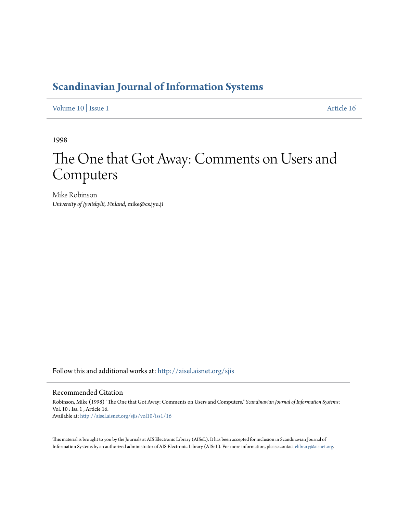## **[Scandinavian Journal of Information Systems](http://aisel.aisnet.org/sjis?utm_source=aisel.aisnet.org%2Fsjis%2Fvol10%2Fiss1%2F16&utm_medium=PDF&utm_campaign=PDFCoverPages)**

[Volume 10](http://aisel.aisnet.org/sjis/vol10?utm_source=aisel.aisnet.org%2Fsjis%2Fvol10%2Fiss1%2F16&utm_medium=PDF&utm_campaign=PDFCoverPages) | [Issue 1](http://aisel.aisnet.org/sjis/vol10/iss1?utm_source=aisel.aisnet.org%2Fsjis%2Fvol10%2Fiss1%2F16&utm_medium=PDF&utm_campaign=PDFCoverPages) [Article 16](http://aisel.aisnet.org/sjis/vol10/iss1/16?utm_source=aisel.aisnet.org%2Fsjis%2Fvol10%2Fiss1%2F16&utm_medium=PDF&utm_campaign=PDFCoverPages)

1998

# The One that Got Away: Comments on Users and Computers

Mike Robinson *University of Jyviiskylii, Finland*, mike@cs.jyu.ji

Follow this and additional works at: [http://aisel.aisnet.org/sjis](http://aisel.aisnet.org/sjis?utm_source=aisel.aisnet.org%2Fsjis%2Fvol10%2Fiss1%2F16&utm_medium=PDF&utm_campaign=PDFCoverPages)

#### Recommended Citation

Robinson, Mike (1998) "The One that Got Away: Comments on Users and Computers," *Scandinavian Journal of Information Systems*: Vol. 10 : Iss. 1 , Article 16. Available at: [http://aisel.aisnet.org/sjis/vol10/iss1/16](http://aisel.aisnet.org/sjis/vol10/iss1/16?utm_source=aisel.aisnet.org%2Fsjis%2Fvol10%2Fiss1%2F16&utm_medium=PDF&utm_campaign=PDFCoverPages)

This material is brought to you by the Journals at AIS Electronic Library (AISeL). It has been accepted for inclusion in Scandinavian Journal of Information Systems by an authorized administrator of AIS Electronic Library (AISeL). For more information, please contact [elibrary@aisnet.org.](mailto:elibrary@aisnet.org%3E)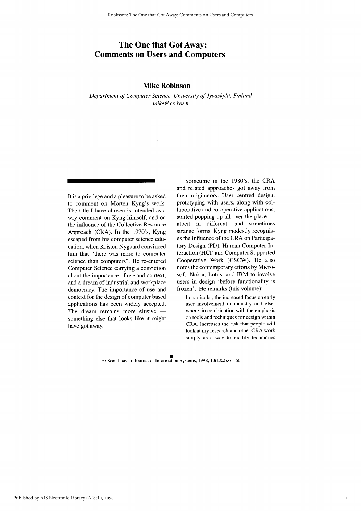### The One that Got Away: **Comments on Users and Computers**

#### **Mike Robinson**

Department of Computer Science, University of Jyväskylä, Finland  $mike@cs.jyu.fi$ 

It is a privilege and a pleasure to be asked to comment on Morten Kyng's work. The title I have chosen is intended as a wry comment on Kyng himself, and on the influence of the Collective Resource Approach (CRA). In the 1970's, Kyng escaped from his computer science education, when Kristen Nygaard convinced him that "there was more to computer science than computers". He re-entered Computer Science carrying a conviction about the importance of use and context, and a dream of industrial and workplace democracy. The importance of use and context for the design of computer based applications has been widely accepted. The dream remains more elusive something else that looks like it might have got away.

Sometime in the 1980's, the CRA and related approaches got away from their originators. User centred design, prototyping with users, along with collaborative and co-operative applications, started popping up all over the place albeit in different, and sometimes strange forms. Kyng modestly recognises the influence of the CRA on Participatory Design (PD), Human Computer Interaction (HCI) and Computer Supported Cooperative Work (CSCW). He also notes the contemporary efforts by Microsoft, Nokia, Lotus, and IBM to involve users in design 'before functionality is frozen'. He remarks (this volume):

In particular, the increased focus on early user involvement in industry and elsewhere, in combination with the emphasis on tools and techniques for design within CRA, increases the risk that people will look at my research and other CRA work simply as a way to modify techniques

 $\mathbf{1}$ 

© Scandinavian Journal of Information Systems, 1998, 10(1&2):61-66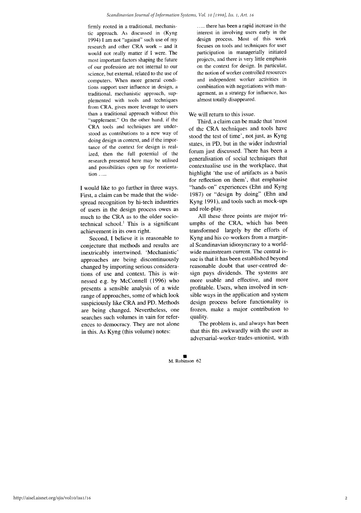firmly rooted in a traditional, mechanistic approach. As discussed in (Kyng 1994) I am not "against" such use of my research and other CRA work - and it would not really matter if I were. The most important factors shaping the future of our profession are not internal to our science, but external, related to the use of computers. When more general conditions support user influence in design, a traditional, mechanistic approach, supplemented with tools and techniques from CRA, gives more leverage to users than a traditional approach without this "supplement." On the other hand, if the CRA tools and techniques are understood as contributions to a new way of doing design in context, and if the importance of the context for design is realized, then the full potential of the research presented here may be utilised and possibilities open up for reorientation .....

I would like to go further in three ways. First, a claim can be made that the widespread recognition by hi-tech industries of users in the design process owes as much to the CRA as to the older sociotechnical school.<sup>1</sup> This is a significant achievement in its own right.

Second, I believe it is reasonable to conjecture that methods and results are inextricably intertwined. 'Mechanistic' approaches are being discontinuously changed by importing serious considerations of use and context. This is witnessed e.g. by McConnell (1996) who presents a sensible analysis of a wide range of approaches, some of which look suspiciously like CRA and PD. Methods are being changed. Nevertheless, one searches such volumes in vain for references to democracy. They are not alone in this. As Kyng (this volume) notes:

..... there has been a rapid increase in the interest in involving users early in the design process. Most of this work focuses on tools and techniques for user participation in managerially initiated projects, and there is very little emphasis on the context for design. In particular, the notion of worker controlled resources and independent worker activities in combination with negotiations with management, as a strategy for influence, has almost totally disappeared.

#### We will return to this issue.

Third, a claim can be made that 'most of the CRA techniques and tools have stood the test of time', not just, as Kyng states, in PD, but in the wider industrial forum just discussed. There has been a generalisation of social techniques that contextualise use in the workplace, that highlight 'the use of artifacts as a basis for reflection on them', that emphasise "hands-on" experiences (Ehn and Kyng 1987) or "design by doing" (Ehn and Kyng 1991), and tools such as mock-ups and role-play.

All these three points are major triumphs of the CRA, which has been transformed largely by the efforts of Kyng and his co-workers from a marginal Scandinavian idiosyncrasy to a worldwide mainstream current. The central issue is that it has been established beyond reasonable doubt that user-centred design pays dividends. The systems are more usable and effective, and more profitable. Users, when involved in sensible ways in the application and system design process before functionality is frozen, make a major contribution to quality.

The problem is, and always has been that this fits awkwardly with the user as adversarial-worker-trades-unionist, with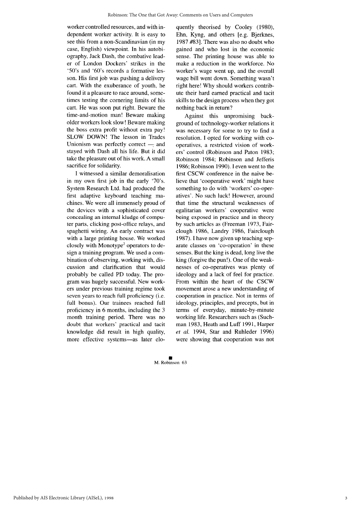worker controlled resources, and with independent worker activity. It is easy to see this from a non-Scandinavian (in my case, English) viewpoint. In his autobiography, Jack Dash, the combative leader of London Dockers' strikes in the '50's and '60's records a formative lesson. His first job was pushing a delivery cart. With the exuberance of youth, he found it a pleasure to race around, sometimes testing the cornering limits of his cart. He was soon put right. Beware the time-and-motion man! Beware making older workers look slow! Beware making the boss extra profit without extra pay! SLOW DOWN! The lesson in Trades Unionism was perfectly correct  $-$  and stayed with Dash all his life. But it did take the pleasure out of his work. A small sacrifice for solidarity.

I witnessed a similar demoralisation in my own first job in the early '70's. System Research Ltd. had produced the first adaptive keyboard teaching machines. We were all immensely proud of the devices with a sophisticated cover concealing an internal kludge of computer parts, clicking post-office relays, and spaghetti wiring. An early contract was with a large printing house. We worked closely with Monotype<sup>2</sup> operators to design a training program. We used a combination of observing, working with, discussion and clarification that would probably be called PD today. The program was hugely successful. New workers under previous training regime took seven years to reach full proficiency (i.e. full bonus). Our trainees reached full proficiency in 6 months, including the 3 month training period. There was no doubt that workers' practical and tacit knowledge did result in high quality, more effective systems-as later eloquently theorised by Cooley (1980), Ehn, Kyng, and others [e.g. Bjerknes, 1987 #83]. There was also no doubt who gained and who lost in the economic sense. The printing house was able to make a reduction in the workforce. No worker's wage went up, and the overall wage bill went down. Something wasn't right here! Why should workers contribute their hard earned practical and tacit skills to the design process when they got nothing back in return?

Against this unpromising background of technology-worker relations it was necessary for some to try to find a resolution. I opted for working with cooperatives, a restricted vision of workers' control (Robinson and Paton 1983; Robinson 1984; Robinson and Jefferis 1986; Robinson 1990). I even went to the first CSCW conference in the naive believe that 'cooperative work' might have something to do with 'workers' co-operatives'. No such luck! However, around that time the structural weaknesses of egalitarian workers' cooperative were being exposed in practice and in theory by such articles as (Freeman 1973, Fairclough 1986, Landry 1986, Fairclough 1987). I have now given up teaching separate classes on 'co-operation' in these senses. But the king is dead, long live the king (forgive the pun!). One of the weaknesses of co-operatives was plenty of ideology and a lack of feel for practice. From within the heart of the CSCW movement arose a new understanding of cooperation in practice. Not in terms of ideology, principles, and precepts, but in terms of everyday, minute-by-minute working life. Researchers such as (Suchman 1983, Heath and Luff 1991, Harper et al. 1994, Star and Ruhleder 1996) were showing that cooperation was not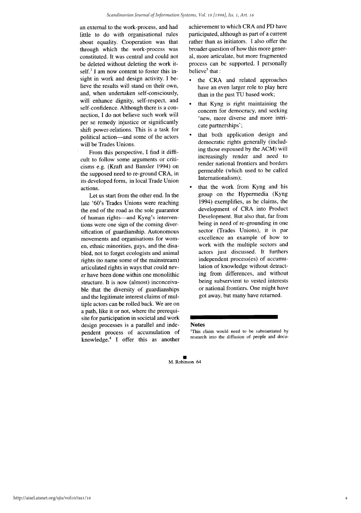an external to the work-process, and had little to do with organisational rules about equality. Cooperation was that through which the work-process was constituted. It was central and could not be deleted without deleting the work itself.<sup>3</sup> I am now content to foster this insight in work and design activity. I believe the results will stand on their own, and, when undertaken self-consciously, will enhance dignity, self-respect, and self-confidence. Although there is a connection, I do not believe such work will per se remedy injustice or significantly shift power-relations. This is a task for political action—and some of the actors will be Trades Unions.

From this perspective, I find it difficult to follow some arguments or criticisms e.g. (Kraft and Bansler 1994) on the supposed need to re-ground CRA, in its developed form, in local Trade Union actions.

Let us start from the other end. In the late '60's Trades Unions were reaching the end of the road as the sole guarantor of human rights-and Kyng's interventions were one sign of the coming diversification of guardianship. Autonomous movements and organisations for women, ethnic minorities, gays, and the disabled, not to forget ecologists and animal rights (to name some of the mainstream) articulated rights in ways that could never have been done within one monolithic structure. It is now (almost) inconceivable that the diversity of guardianships and the legitimate interest claims of multiple actors can be rolled back. We are on a path, like it or not, where the prerequisite for participation in societal and work design processes is a parallel and independent process of accumulation of knowledge.<sup>4</sup> I offer this as another achievement to which CRA and PD have participated, although as part of a current rather than as initiators. I also offer the broader question of how this more general, more articulate, but more fragmented process can be supported. I personally believe<sup>5</sup> that :

- the CRA and related approaches  $\bullet$ have an even larger role to play here than in the past TU based work;
- that Kyng is right maintaining the concern for democracy, and seeking 'new, more diverse and more intricate partnerships';
- that both application design and democratic rights generally (including those espoused by the ACM) will increasingly render and need to render national frontiers and borders permeable (which used to be called Internationalism);
- that the work from Kyng and his group on the Hypermedia (Kyng 1994) exemplifies, as he claims, the development of CRA into Product Development. But also that, far from being in need of re-grounding in one sector (Trades Unions), it is par excellence an example of how to work with the multiple sectors and actors just discussed. It furthers independent process(es) of accumulation of knowledge without detracting from differences, and without being subservient to vested interests or national frontiers. One might have got away, but many have returned.

#### **Notes**

<sup>1</sup>This claim would need to be substantiated by research into the diffusion of people and docu-

 $\overline{4}$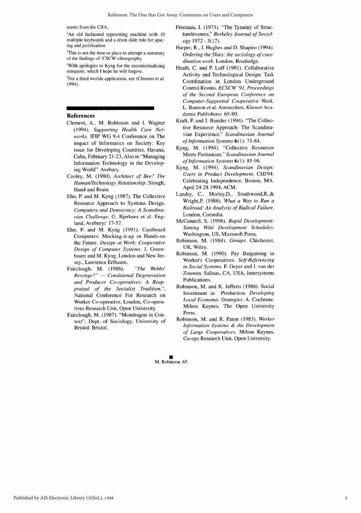ments from the CRA.

 ${}^{2}$ An old fashioned typesetting machine with 10 multiple keyboards and a drum slide rule for spacing and justification.

<sup>3</sup>This is not the time or place to attempt a summary of the findings of CSCW ethnography.

<sup>4</sup>With apologies to Kyng for the recontextualising misquote, which I hope he will forgive.

<sup>5</sup>For a third worlds application, see (Clement et al. 1994).

#### **References**

- Clement, A., M. Robinson and I. Wagner (1994). Supporting Health Care Networks. IFIP WG 9.4 Conference on The impact of Informatics on Society: Key issue for Developing Countries, Havana, Cuba, February 21-23, Also in "Managing Information Technology in the Developing World" Avebury.
- Cooley, M. (1980). Architect of Bee? The Human/Technology Relationship. Slough, Hand and Brain.
- Ehn, P. and M. Kyng (1987). The Collective Resource Approach to Systems Design. Computers and Democracy: A Scandinavian Challenge. G. Bjerknes et al. England, Avebury: 17-57.
- Ehn, P. and M. Kyng (1991). Cardboard Computers: Mocking-it-up or Hands-on the Future. Design at Work: Cooperative Design of Computer Systems. J. Greenbaum and M. Kyng. London and New Jersey., Lawrence Erlbaum.
- Fairclough, M. (1986). "The Webbs' Revenge?" - Conditional Degeneration and Producer Co-operatives: A Reappraisal of the Socialist Tradition.". National Conference For Research on Worker Co-operative, London, Co-operatives Research Unit, Open University.
- Fairclough, M. (1987). "Mondragon in Context", Dept. of Sociology, University of Bristol. Bristol.
- Freeman, J. (1973). "The Tyranny of Structurelessness." Berkeley Journal of Sociology 1972 - 3(17).
- Harper, R., J. Hughes and D. Shapiro (1994). Ordering the Skies: the sociology of coordination work. London, Routledge.
- Heath, C. and P. Luff (1991). Collaborative Activity and Technological Design: Task Coordination in London Underground Control Rooms. ECSCW '91. Proceedings of the Second European Conference on Computer-Supported Cooperative Work. L. Bannon et al. Amsterdam, Kluwer Academic Publishers: 65-80.
- Kraft, P. and J. Bansler (1994). "The Collective Resource Approach: The Scandinavian Experience." Scandinavian Journal of Information Systems 6(1): 71-84.
- Kyng, M. (1994). "Collective Resources Meets Puritanism." Scandinavian Journal of Information Systems 6(1): 85-96.
- Kyng, M. (1994). Scandinavian Design: Users in Product Development. CHI'94: Celebrating Independence, Boston, MA. April 24-28 1994, ACM.
- Landry, C., Morley, D., Southwood, R., & Wright, P. (1986). What a Way to Run a Railroad: An Analysis of Radical Failure. London, Comedia.
- McConnell, S. (1996). Rapid Development: Taming Wild Development Schedules. Washington, US, Microsoft Press.
- Robinson, M. (1984). Groups. Chichester, UK, Wiley.
- Robinson, M. (1990). Pay Bargaining in Worker's Cooperatives. Self-Referencing in Social Systems. F. Geyer and J. van der Zouwen. Salinas, CA, USA, Intersystems Publications.
- Robinson, M. and K. Jefferis (1986). Social Investment in Production. Developing Local Economic Strategies. A. Cochrane. Milton Keynes, The Open University Press.
- Robinson, M. and R. Paton (1983). Worker Information Systems & the Development of Large Cooperatives. Milton Keynes, Co-ops Research Unit, Open University.